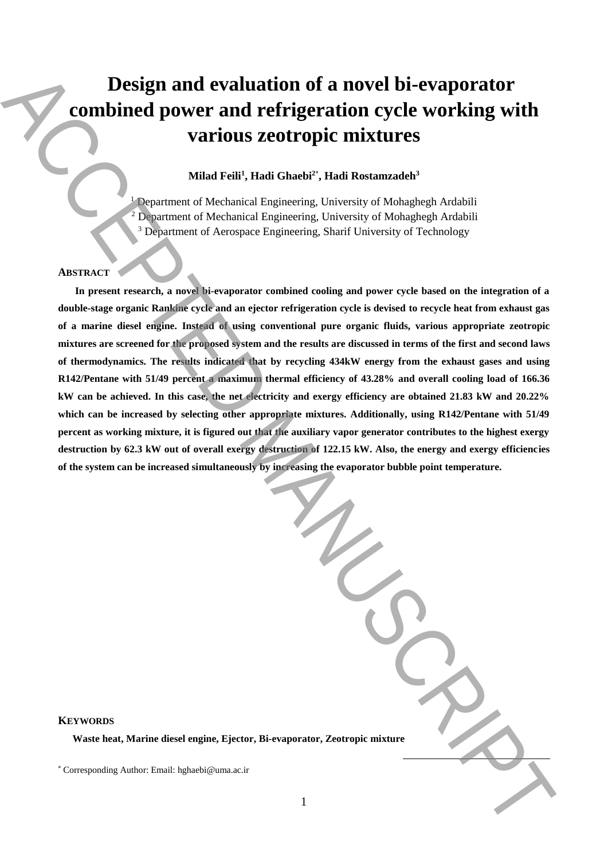# **Design and evaluation of a novel bi-evaporator combined power and refrigeration cycle working with various zeotropic mixtures**

## **Milad Feili<sup>1</sup> , Hadi Ghaebi<sup>2</sup>**\* **, Hadi Rostamzadeh<sup>3</sup>**

<sup>1</sup> Department of Mechanical Engineering, University of Mohaghegh Ardabili  $2$  Department of Mechanical Engineering, University of Mohaghegh Ardabili <sup>3</sup> Department of Aerospace Engineering, Sharif University of Technology

## **ABSTRACT**

**In present research, a novel bi-evaporator combined cooling and power cycle based on the integration of a double-stage organic Rankine cycle and an ejector refrigeration cycle is devised to recycle heat from exhaust gas of a marine diesel engine. Instead of using conventional pure organic fluids, various appropriate zeotropic mixtures are screened for the proposed system and the results are discussed in terms of the first and second laws of thermodynamics. The results indicated that by recycling 434kW energy from the exhaust gases and using R142/Pentane with 51/49 percent a maximum thermal efficiency of 43.28% and overall cooling load of 166.36 kW can be achieved. In this case, the net electricity and exergy efficiency are obtained 21.83 kW and 20.22%**  which can be increased by selecting other appropriate mixtures. Additionally, using R142/Pentane with 51/49 **percent as working mixture, it is figured out that the auxiliary vapor generator contributes to the highest exergy destruction by 62.3 kW out of overall exergy destruction of 122.15 kW. Also, the energy and exergy efficiencies of the system can be increased simultaneously by increasing the evaporator bubble point temperature. Design and evaluation of a novel bi-evaporator**<br> **Corresponding With**<br> **Various Zeotropic mixtures**<br>
Manuscriptic mixtures<br>
Manuscriptic mixtures<br>
Manuscriptic mixtures<br>
Appeared Alexander Corresponding Conservers of Mong

## **KEYWORDS**

**Waste heat, Marine diesel engine, Ejector, Bi-evaporator, Zeotropic mixture**

 $\overline{a}$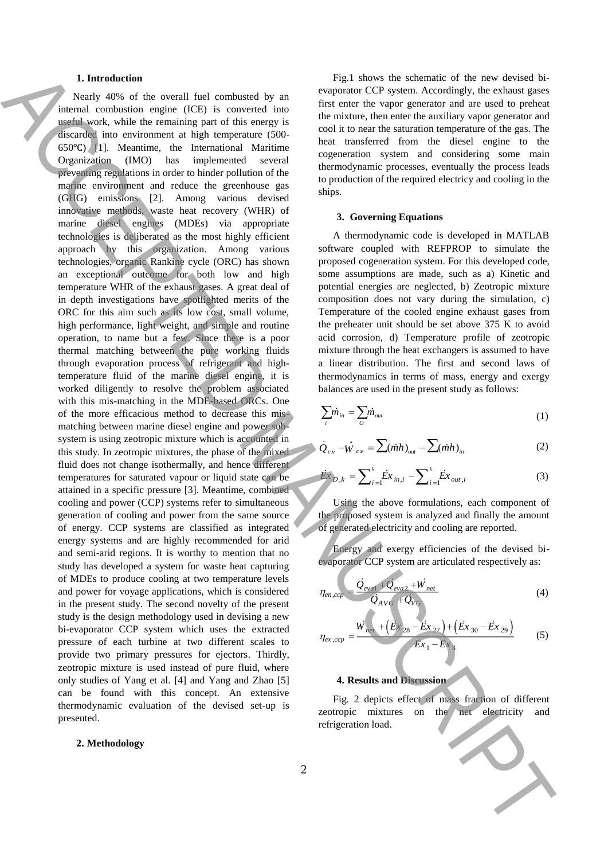#### **1. Introduction**

Nearly 40% of the overall fuel combusted by an internal combustion engine (ICE) is converted into useful work, while the remaining part of this energy is discarded into environment at high temperature (500- 650℃) [1]. Meantime, the International Maritime Organization (IMO) has implemented several preventing regulations in order to hinder pollution of the marine environment and reduce the greenhouse gas (GHG) emissions [2]. Among various devised innovative methods, waste heat recovery (WHR) of marine diesel engines (MDEs) via appropriate technologies is deliberated as the most highly efficient approach by this organization. Among various technologies, organic Rankine cycle (ORC) has shown an exceptional outcome for both low and high temperature WHR of the exhaust gases. A great deal of in depth investigations have spotlighted merits of the ORC for this aim such as its low cost, small volume, high performance, light weight, and simple and routine operation, to name but a few. Since there is a poor thermal matching between the pure working fluids through evaporation process of refrigerant and hightemperature fluid of the marine diesel engine, it is worked diligently to resolve the problem associated with this mis-matching in the MDE-based ORCs. One of the more efficacious method to decrease this mismatching between marine diesel engine and power subsystem is using zeotropic mixture which is accounted in this study. In zeotropic mixtures, the phase of the mixed fluid does not change isothermally, and hence different temperatures for saturated vapour or liquid state can be attained in a specific pressure [3]. Meantime, combined cooling and power (CCP) systems refer to simultaneous generation of cooling and power from the same source of energy. CCP systems are classified as integrated energy systems and are highly recommended for arid and semi-arid regions. It is worthy to mention that no study has developed a system for waste heat capturing of MDEs to produce cooling at two temperature levels and power for voyage applications, which is considered in the present study. The second novelty of the present study is the design methodology used in devising a new bi-evaporator CCP system which uses the extracted pressure of each turbine at two different scales to provide two primary pressures for ejectors. Thirdly, zeotropic mixture is used instead of pure fluid, where only studies of Yang et al. [4] and Yang and Zhao [5] can be found with this concept. An extensive thermodynamic evaluation of the devised set-up is presented. A latter distributed for the second interaction of the second interaction of the second interaction of the second interaction of the second interaction of the second interaction of the second interaction of the second int

#### **2. Methodology**

Fig.1 shows the schematic of the new devised bievaporator CCP system. Accordingly, the exhaust gases first enter the vapor generator and are used to preheat the mixture, then enter the auxiliary vapor generator and cool it to near the saturation temperature of the gas. The heat transferred from the diesel engine to the cogeneration system and considering some main thermodynamic processes, eventually the process leads to production of the required electricy and cooling in the ships.

## **3. Governing Equations**

A thermodynamic code is developed in MATLAB software coupled with REFPROP to simulate the proposed cogeneration system. For this developed code, some assumptions are made, such as a) Kinetic and potential energies are neglected, b) Zeotropic mixture composition does not vary during the simulation, c) Temperature of the cooled engine exhaust gases from the preheater unit should be set above 375 K to avoid acid corrosion, d) Temperature profile of zeotropic mixture through the heat exchangers is assumed to have a linear distribution. The first and second laws of thermodynamics in terms of mass, energy and exergy balances are used in the present study as follows:

$$
\sum_{i} \dot{m}_{in} = \sum_{O} \dot{m}_{out} \tag{1}
$$

$$
\dot{Q}_{c} - \dot{W}_{c} = \sum (\dot{m}h)_{out} - \sum (\dot{m}h)_{in}
$$
 (2)

$$
\dot{E}x_{D,k} = \sum_{i=1}^{k} \dot{E}x_{in,i} - \sum_{i=1}^{k} \dot{E}x_{out,i}
$$
 (3)

Using the above formulations, each component of the proposed system is analyzed and finally the amount of generated electricity and cooling are reported.

Energy and exergy efficiencies of the devised bievaporator CCP system are articulated respectively as:

$$
\eta_{en,cep} = \frac{\dot{Q}_{eval} + \dot{Q}_{eva2} + \dot{W}_{net}}{\dot{Q}_{AVG} + \dot{Q}_{VG}}
$$
(4)

$$
\eta_{ex,cep} = \frac{W_{net} + (E_{x_{28}} - Ex_{27}) + (Ex_{30} - Ex_{29})}{Ex_1 - Ex_3}
$$
(5)

### **4. Results and Discussion**

Fig. 2 depicts effect of mass fraction of different zeotropic mixtures on the net electricity and refrigeration load.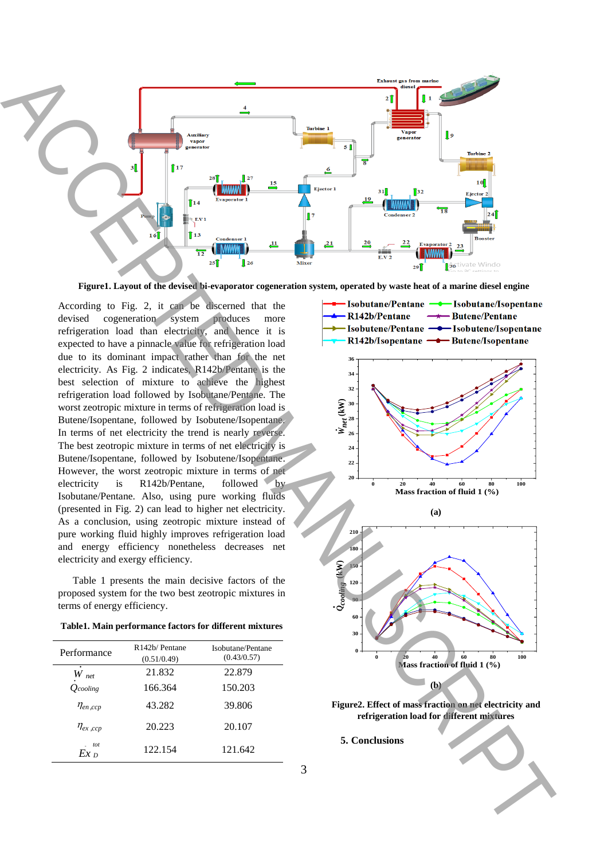

**Figure1. Layout of the devised bi-evaporator cogeneration system, operated by waste heat of a marine diesel engine**

According to Fig. 2, it can be discerned that the devised cogeneration system produces more refrigeration load than electricity, and hence it is expected to have a pinnacle value for refrigeration load due to its dominant impact rather than for the net electricity. As Fig. 2 indicates, R142b/Pentane is the best selection of mixture to achieve the highest refrigeration load followed by Isobutane/Pentane. The worst zeotropic mixture in terms of refrigeration load is Butene/Isopentane, followed by Isobutene/Isopentane. In terms of net electricity the trend is nearly reverse. The best zeotropic mixture in terms of net electricity is Butene/Isopentane, followed by Isobutene/Isopentane. However, the worst zeotropic mixture in terms of net electricity is R142b/Pentane, followed by Isobutane/Pentane. Also, using pure working fluids (presented in Fig. 2) can lead to higher net electricity. As a conclusion, using zeotropic mixture instead of pure working fluid highly improves refrigeration load and energy efficiency nonetheless decreases net electricity and exergy efficiency.

Table 1 presents the main decisive factors of the proposed system for the two best zeotropic mixtures in terms of energy efficiency.

| Performance     | R <sub>142</sub> b/Pentane<br>(0.51/0.49) | Isobutane/Pentane<br>(0.43/0.57) |
|-----------------|-------------------------------------------|----------------------------------|
| ٠<br>W<br>net   | 21.832                                    | 22.879                           |
| $O$ cooling     | 166.364                                   | 150.203                          |
| $\eta_{en,ccp}$ | 43.282                                    | 39.806                           |
| $\eta_{ex,ccp}$ | 20.223                                    | 20.107                           |
| tot<br>$Ex_{D}$ | 122.154                                   | 121.642                          |